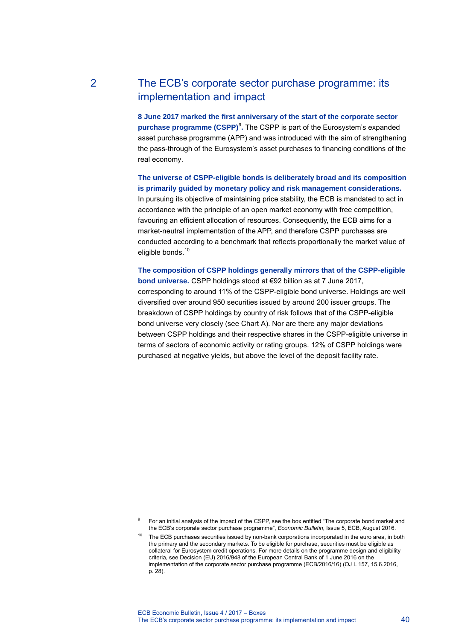# 2 The ECB's corporate sector purchase programme: its implementation and impact

**8 June 2017 marked the first anniversary of the start of the corporate sector purchase programme (CSPP)** 9 **.** The CSPP is part of the Eurosystem's expanded asset purchase programme (APP) and was introduced with the aim of strengthening the pass-through of the Eurosy[st](#page-0-0)em's asset purchases to financing conditions of the real economy.

**The universe of CSPP-eligible bonds is deliberately broad and its composition is primarily guided by monetary policy and risk management considerations.** In pursuing its objective of maintaining price stability, the ECB is mandated to act in accordance with the principle of an open market economy with free competition, favouring an efficient allocation of resources. Consequently, the ECB aims for a market-neutral implementation of the APP, and therefore CSPP purchases are conducted according to a benchmark that reflects proportionally the market value of eligible bonds.<sup>10</sup>

**The composi[tio](#page-0-1)n of CSPP holdings generally mirrors that of the CSPP-eligible bond universe.** CSPP holdings stood at €92 billion as at 7 June 2017, corresponding to around 11% of the CSPP-eligible bond universe. Holdings are well diversified over around 950 securities issued by around 200 issuer groups. The breakdown of CSPP holdings by country of risk follows that of the CSPP-eligible bond universe very closely (see Chart A). Nor are there any major deviations between CSPP holdings and their respective shares in the CSPP-eligible universe in terms of sectors of economic activity or rating groups. 12% of CSPP holdings were purchased at negative yields, but above the level of the deposit facility rate.

-

<span id="page-0-0"></span><sup>9</sup> For an initial analysis of the impact of the CSPP, see the box entitled "The corporate bond market and the ECB's corporate sector purchase programme", *Economic Bulletin*, Issue 5, ECB, August 2016.

<span id="page-0-1"></span><sup>&</sup>lt;sup>10</sup> The ECB purchases securities issued by non-bank corporations incorporated in the euro area, in both the primary and the secondary markets. To be eligible for purchase, securities must be eligible as collateral for Eurosystem credit operations. For more details on the programme design and eligibility criteria, see Decision (EU) 2016/948 of the European Central Bank of 1 June 2016 on the implementation of the corporate sector purchase programme (ECB/2016/16) (OJ L 157, 15.6.2016, p. 28).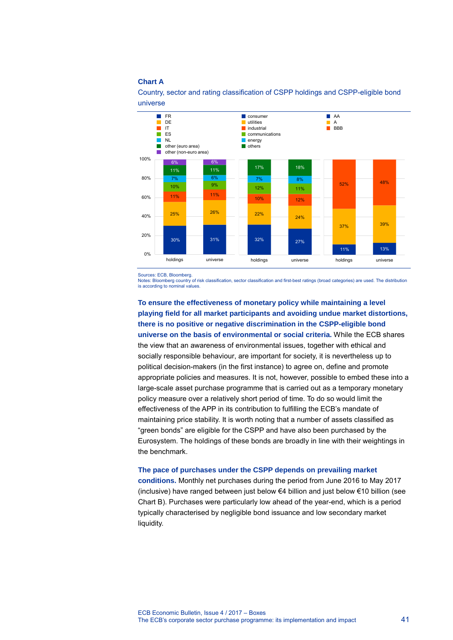## **Chart A**



Country, sector and rating classification of CSPP holdings and CSPP-eligible bond universe

Sources: ECB, Bloomberg.

Notes: Bloomberg country of risk classification, sector classification and first-best ratings (broad categories) are used. The distribution is according to nominal values.

**To ensure the effectiveness of monetary policy while maintaining a level playing field for all market participants and avoiding undue market distortions, there is no positive or negative discrimination in the CSPP-eligible bond universe on the basis of environmental or social criteria.** While the ECB shares the view that an awareness of environmental issues, together with ethical and socially responsible behaviour, are important for society, it is nevertheless up to political decision-makers (in the first instance) to agree on, define and promote appropriate policies and measures. It is not, however, possible to embed these into a large-scale asset purchase programme that is carried out as a temporary monetary policy measure over a relatively short period of time. To do so would limit the effectiveness of the APP in its contribution to fulfilling the ECB's mandate of maintaining price stability. It is worth noting that a number of assets classified as "green bonds" are eligible for the CSPP and have also been purchased by the Eurosystem. The holdings of these bonds are broadly in line with their weightings in the benchmark.

# **The pace of purchases under the CSPP depends on prevailing market**

**conditions.** Monthly net purchases during the period from June 2016 to May 2017 (inclusive) have ranged between just below €4 billion and just below €10 billion (see Chart B). Purchases were particularly low ahead of the year-end, which is a period typically characterised by negligible bond issuance and low secondary market liquidity.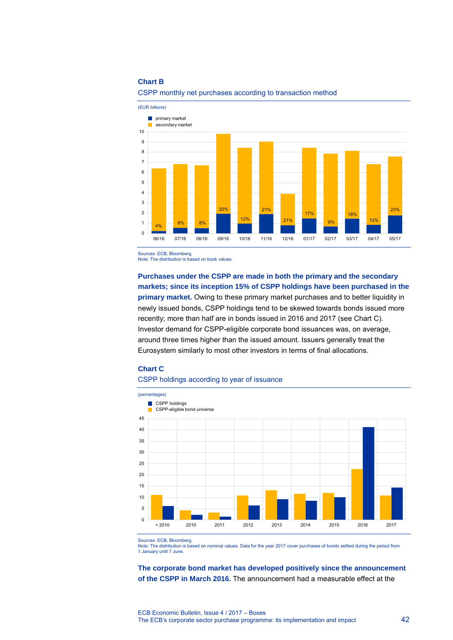## **Chart B**



# CSPP monthly net purchases according to transaction method

Sources: ECB, Bloomberg. Note: The distribution is based on book values.

**Purchases under the CSPP are made in both the primary and the secondary markets; since its inception 15% of CSPP holdings have been purchased in the primary market.** Owing to these primary market purchases and to better liquidity in newly issued bonds, CSPP holdings tend to be skewed towards bonds issued more recently; more than half are in bonds issued in 2016 and 2017 (see Chart C). Investor demand for CSPP-eligible corporate bond issuances was, on average, around three times higher than the issued amount. Issuers generally treat the Eurosystem similarly to most other investors in terms of final allocations.

## **Chart C**

## CSPP holdings according to year of issuance



Sources: ECB, Bloomberg.

Note: The distribution is based on nominal values. Data for the year 2017 cover purchases of bonds settled during the period from 1 January until 7 June.

**The corporate bond market has developed positively since the announcement of the CSPP in March 2016.** The announcement had a measurable effect at the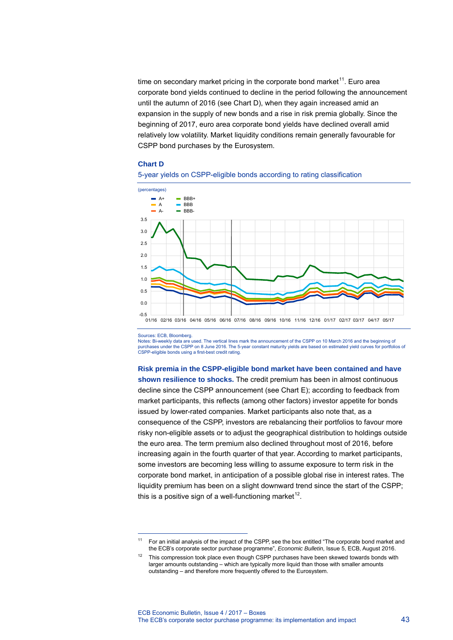time on secondary market pricing in the corporate bond market<sup>[1](#page-3-0)1</sup>. Euro area corporate bond yields continued to decline in the period following the announcement until the autumn of 2016 (see Chart D), when they again increased amid an expansion in the supply of new bonds and a rise in risk premia globally. Since the beginning of 2017, euro area corporate bond yields have declined overall amid relatively low volatility. Market liquidity conditions remain generally favourable for CSPP bond purchases by the Eurosystem.

#### **Chart D**





-

Sources: ECB, Bloomberg.<br>Notes: Bi-weekly data are used. The vertical lines mark the announcement of the CSPP on 10 March 2016 and the beginning of purchases under the CSPP on 8 June 2016. The 5-year constant maturity yields are based on estimated yield curves for portfolios of CSPP-eligible bonds using a first-best credit rating.

**Risk premia in the CSPP-eligible bond market have been contained and have shown resilience to shocks.** The credit premium has been in almost continuous decline since the CSPP announcement (see Chart E); according to feedback from market participants, this reflects (among other factors) investor appetite for bonds issued by lower-rated companies. Market participants also note that, as a consequence of the CSPP, investors are rebalancing their portfolios to favour more risky non-eligible assets or to adjust the geographical distribution to holdings outside the euro area. The term premium also declined throughout most of 2016, before increasing again in the fourth quarter of that year. According to market participants, some investors are becoming less willing to assume exposure to term risk in the corporate bond market, in anticipation of a possible global rise in interest rates. The liquidity premium has been on a slight downward trend since the start of the CSPP; this is a positive sign of a well-functioning market<sup>[12](#page-3-1)</sup>.

<span id="page-3-0"></span><sup>&</sup>lt;sup>11</sup> For an initial analysis of the impact of the CSPP, see the box entitled "The corporate bond market and the ECB's corporate sector purchase programme", *Economic Bulletin*, Issue 5, ECB, August 2016.

<span id="page-3-1"></span> $12$  This compression took place even though CSPP purchases have been skewed towards bonds with larger amounts outstanding – which are typically more liquid than those with smaller amounts outstanding – and therefore more frequently offered to the Eurosystem.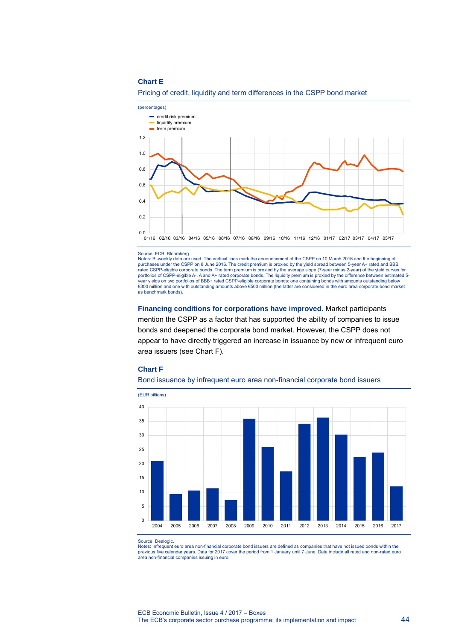## **Chart E**





#### Source: ECB, Bloomberg.

Notes: Bi-weekly data are used. The vertical lines mark the announcement of the CSPP on 10 March 2016 and the beginning of purchases under the CSPP on 8 June 2016. The credit premium is proxied by the yield spread between 5-year A+ rated and BBB rated CSPP-eligible corporate bonds. The term premium is proxied by the average slope (7-year minus 2-year) of the yield curves for<br>portfolios of CSPP-eligible A-, A and A+ rated corporate bonds. The liquidity premium is p year yields on two portfolios of BBB+ rated CSPP-eligible corporate bonds: one containing bonds with amounts outstanding below<br>€300 million and one with outstanding amounts above €500 million (the latter are considered in as benchmark bonds).

**Financing conditions for corporations have improved.** Market participants mention the CSPP as a factor that has supported the ability of companies to issue bonds and deepened the corporate bond market. However, the CSPP does not appear to have directly triggered an increase in issuance by new or infrequent euro

## **Chart F**

area issuers (see Chart F).





Source: Dealogic.

Notes: Infrequent euro area non-financial corporate bond issuers are defined as companies that have not issued bonds within the previous five calendar years. Data for 2017 cover the period from 1 January until 7 June. Data include all rated and non-rated euro area non-financial companies issuing in euro.